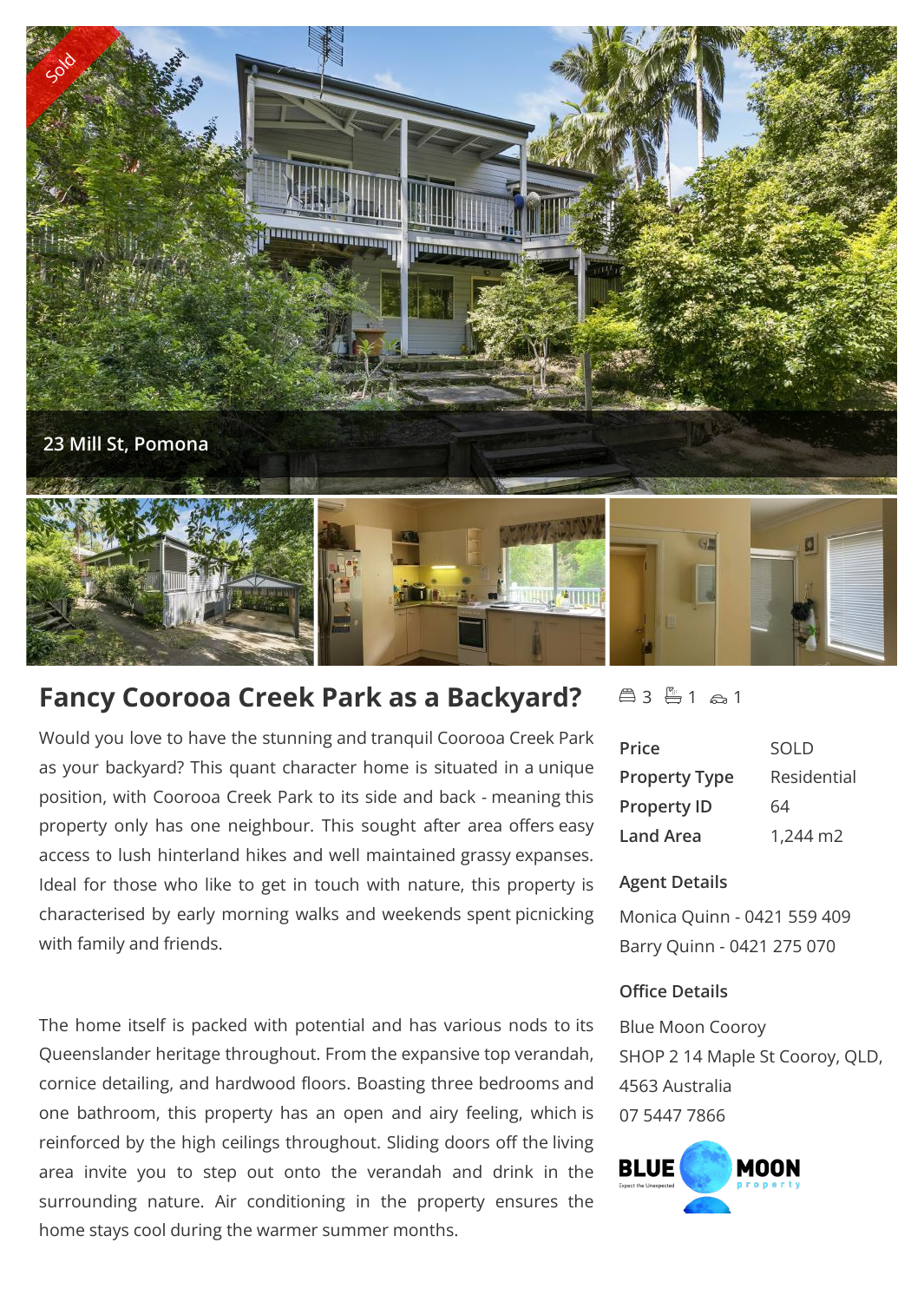

# **Fancy Coorooa Creek Park as a Backyard?**

Would you love to have the stunning and tranquil Coorooa Creek Park as your backyard? This quant character home is situated in a unique position, with Coorooa Creek Park to its side and back - meaning this property only has one neighbour. This sought after area offers easy access to lush hinterland hikes and well maintained grassy expanses. Ideal for those who like to get in touch with nature, this property is characterised by early morning walks and weekends spent picnicking with family and friends.

The home itself is packed with potential and has various nods to its Queenslander heritage throughout. From the expansive top verandah, cornice detailing, and hardwood floors. Boasting three bedrooms and one bathroom, this property has an open and airy feeling, which is reinforced by the high ceilings throughout. Sliding doors off the living area invite you to step out onto the verandah and drink in the  $B LUE$ surrounding nature. Air conditioning in the property ensures the home stays cool during the warmer summer months.

# $43 - 1 - 21$

| Price                | SOLD        |
|----------------------|-------------|
| <b>Property Type</b> | Residential |
| <b>Property ID</b>   | 64          |
| Land Area            | 1,244 m2    |

### **Agent Details**

Monica Quinn - 0421 559 409 Barry Quinn - 0421 275 070

### **Office Details**

Blue Moon Cooroy SHOP 2 14 Maple St Cooroy, QLD, 4563 Australia 07 5447 7866